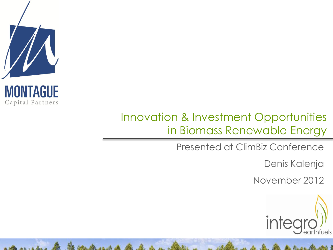

### Innovation & Investment Opportunities in Biomass Renewable Energy

Be B. D. u.

Presented at ClimBiz Conference

Denis Kalenja

November 2012

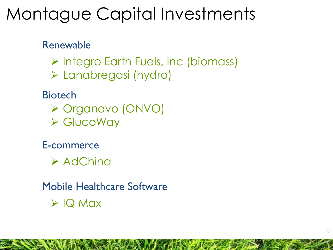# Montague Capital Investments

Renewable

- > Integro Earth Fuels, Inc (biomass)
- Lanabregasi (hydro)

**Biotech** 

- Organovo (ONVO)
- GlucoWay

E-commerce

 $\triangleright$  AdChina

Mobile Healthcare Software  $\triangleright$  IQ Max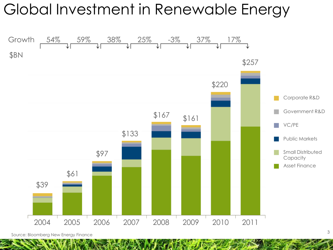### Global Investment in Renewable Energy



Source: Bloomberg New Energy Finance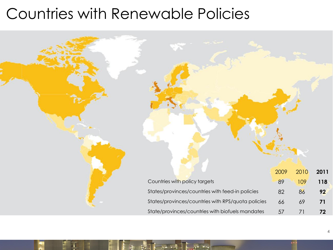### Countries with Renewable Policies

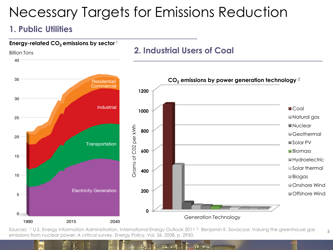### Necessary Targets for Emissions Reduction

### **1. Public Utilities**



Sources: <sup>1</sup> U.S. Energy Information Administration, International Energy Outlook 2011<sup>2</sup> Benjamin K. Sovacool. Valuing the greenhouse gas emissions from nuclear power: A critical survey. Energy Policy, Vol. 36, 2008, p. 2950.

5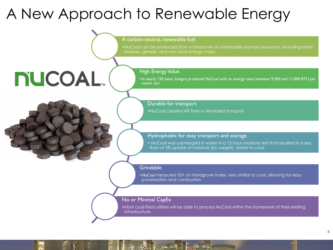### A New Approach to Renewable Energy

A carbon-neutral, renewable fuel

•NuCoal can be produced from a broad mix of sustainable biomass resources, including forest residues, grasses, and non-food energy crops.

# **NUCOAL**

High Energy Value

•In nearly 150 tests, Integro produced NuCoal with an energy value between 9,500 and 11,000 BTU per metric ton

Durable for transport

•NuCoal created 4% fines in simulated transport

#### Hydrophobic for easy transport and storage

• NuCoal was submerged in water in a 72-hour moisture test that resulted in a less than of 5% uptake of moisture (by weight), similar to coal.

#### **Grindable**

•NuCoal measured 50+ on Hardgrove Index, very similar to coal, allowing for easy pulverization and combustion

#### No or Minimal CapEx

•Most coal-fired utilities will be able to process NuCoal within the framework of their existing infrastructure.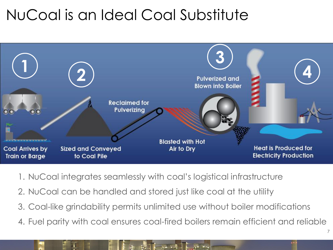## NuCoal is an Ideal Coal Substitute



- 1. NuCoal integrates seamlessly with coal's logistical infrastructure
- 2. NuCoal can be handled and stored just like coal at the utility
- 3. Coal-like grindability permits unlimited use without boiler modifications
- 4. Fuel parity with coal ensures coal-fired boilers remain efficient and reliable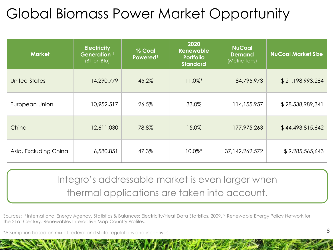## Global Biomass Power Market Opportunity

| <b>Market</b>         | <b>Electricity</b><br>Generation <sup>1</sup><br>(Billion Btu) | % Coal<br>Powered <sup>1</sup> | 2020<br>Renewable<br><b>Portfolio</b><br><b>Standard</b> | <b>NuCoal</b><br><b>Demand</b><br>(Metric Tons) | <b>NuCoal Market Size</b> |
|-----------------------|----------------------------------------------------------------|--------------------------------|----------------------------------------------------------|-------------------------------------------------|---------------------------|
| <b>United States</b>  | 14,290,779                                                     | 45.2%                          | $11.0\%$ *                                               | 84,795,973                                      | \$21,198,993,284          |
| European Union        | 10,952,517                                                     | 26.5%                          | 33.0%                                                    | 114,155,957                                     | \$28,538,989,341          |
| China                 | 12,611,030                                                     | 78.8%                          | 15.0%                                                    | 177,975,263                                     | \$44,493,815,642          |
| Asia, Excluding China | 6,580,851                                                      | 47.3%                          | $10.0\%$ *                                               | 37, 142, 262, 572                               | \$9,285,565,643           |

Integro's addressable market is even larger when thermal applications are taken into account.

Sources: <sup>1</sup>International Energy Agency, Statistics & Balances: Electricity/Heat Data Statistics, 2009. <sup>2</sup> Renewable Energy Policy Network for the 21at Century. Renewables Interactive Map Country Profiles.

\*Assumption based on mix of federal and state regulations and incentives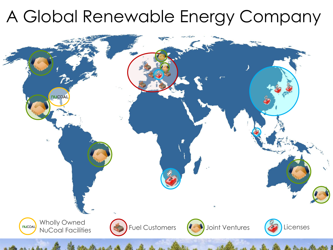# A Global Renewable Energy Company

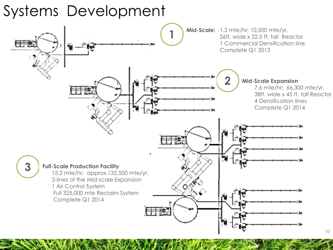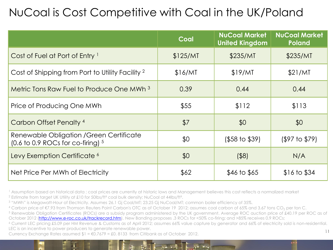### NuCoal is Cost Competitive with Coal in the UK/Poland

|                                                                                 | Coal     | <b>NuCoal Market</b><br><b>United Kingdom</b> | <b>NuCoal Market</b><br><b>Poland</b> |
|---------------------------------------------------------------------------------|----------|-----------------------------------------------|---------------------------------------|
| Cost of Fuel at Port of Entry <sup>1</sup>                                      | \$125/MT | \$235/MT                                      | \$235/MT                              |
| Cost of Shipping from Port to Utility Facility <sup>2</sup>                     | \$16/MT  | \$19/MT                                       | \$21/MT                               |
| Metric Tons Raw Fuel to Produce One MWh <sup>3</sup>                            | 0.39     | 0.44                                          | 0.44                                  |
| Price of Producing One MWh                                                      | \$55     | \$112                                         | \$113                                 |
| Carbon Offset Penalty <sup>4</sup>                                              | \$7      | \$0                                           | \$0                                   |
| Renewable Obligation / Green Certificate<br>(0.6 to 0.9 ROCs for co-firing) $5$ | \$0      | $($ \$58 to \$39)                             | $(197)$ to $179)$                     |
| Levy Exemption Certificate <sup>6</sup>                                         | \$0      | $($ \$8)                                      | N/A                                   |
| Net Price Per MWh of Electricity                                                | \$62     | $$46 \text{ to } $65$                         | \$16 to \$34                          |

<sup>1</sup> Assumption based on historical data ; coal prices are currently at historic lows and Management believes this cost reflects a normalized market <sup>2</sup> Estimate from target UK Utility at £10 for 50lbs/ft<sup>3</sup> coal bulk density; NuCoal at 44lbs/ft<sup>3</sup>.

<sup>3</sup> "MWh" is Megawatt-Hour of Electricity. Assumes 26.1 Gj Coal/MT; 23.25 Gj NuCoal/MT; common boiler efficiency of 35%.

4 Carbon price of €7.93 from Thomson Reuters Point Carbon's OTC as of October 19 2012; assumes coal carbon of 65% and 3.67 tons CO<sub>2</sub> per ton C.

<sup>5</sup> Renewable Obligation Certificates (ROCs) are a subsidy program administered by the UK government. Average ROC auction price of £40.19 per ROC as of October 2012 [\(http://www.e-roc.co.uk/trackrecord.htm\)](http://www.e-roc.co.uk/trackrecord.htm). New Banding proposes .3 ROCs for <50% co-firing; and >85% receives 0.9 ROCs;

<sup>6</sup> Current LEC pricing £5.09 per HM Revenue & Customs as of April 2012; assumes 66% value capture by generator and 66% of electricity sold is non-residential. LEC is an incentive to power producers to generate renewable power.

Currency Exchange Rates assumed  $I = \epsilon 0.7679 = \text{\pounds}0.8133$  from Citibank as of October 2012.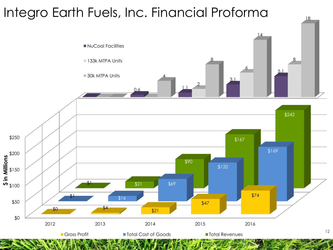### Integro Earth Fuels, Inc. Financial Proforma

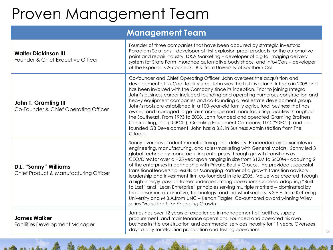## Proven Management Team

### **Management Team**

| <b>Walter Dickinson III</b><br>Founder & Chief Executive Officer    | Founder of three companies that have been acquired by strategic investors:<br>Paradigm Solutions - developer of first explosion proof products for the automotive<br>paint and repair industry, D&A Marketing - developer of digital imaging delivery<br>system for State Farm Insurance automotive body shops, and Info4Cars - developer<br>of the Experian's Autocheck. B.S. from University of Southern Cal.                                                                                                                                                                                                                                                                                                                                                                                                                                                                                                                                                                                               |  |
|---------------------------------------------------------------------|---------------------------------------------------------------------------------------------------------------------------------------------------------------------------------------------------------------------------------------------------------------------------------------------------------------------------------------------------------------------------------------------------------------------------------------------------------------------------------------------------------------------------------------------------------------------------------------------------------------------------------------------------------------------------------------------------------------------------------------------------------------------------------------------------------------------------------------------------------------------------------------------------------------------------------------------------------------------------------------------------------------|--|
| <b>John T. Gramling III</b><br>Co-Founder & Chief Operating Officer | Co-founder and Chief Operating Officer, John oversees the acquisition and<br>development of NuCoal facility sites. John was the first investor in Integro in 2008 and<br>has been involved with the Company since its inception. Prior to joining Integro,<br>John's business career included founding and operating numerous construction and<br>heavy equipment companies and co-founding a real estate development group.<br>John's roots are established in a 100-year-old family agricultural business that has<br>owned and managed large farm acreage and manufacturing facilities throughout<br>the Southeast. From 1993 to 2008, John founded and operated Gramling Brothers<br>Contracting, Inc. ("GBCI"), Gramling Equipment Company, LLC ("GEC"), and co-<br>founded G3 Development. John has a B.S. in Business Administration from The<br>Citadel.                                                                                                                                              |  |
| D.L. "Sonny" Williams<br>Chief Product & Manufacturing Officer      | Sonny oversees product manufacturing and delivery. Proceeded by senior roles in<br>engineering, manufacturing, and sales/marketing with General Motors, Sonny led 3<br>global technology manufacturing enterprises through growth transitions as<br>CEO/Director over a +25 year span ranging in size from \$12M to \$600M - acquiring 2<br>of the enterprises in partnership with Private Equity Groups. He provided successful<br>transitional leadership results as Managing Partner of a growth transition advisory,<br>leadership and investment firm co-founded in late 2005. Value was created through<br>a high-energy passion to see underperforming operations succeed adopting "Built"<br>to Last" and "Lean Enterprise" principles serving multiple markets -- dominated by<br>the consumer, automotive, technology, and industrial sectors. B.S.E.E. from Kettering<br>University and M.B.A.from UNC - Kenan Flagler. Co-authored award winning Wiley<br>series "Handbook for Financing Growth". |  |
| <b>James Walker</b><br><b>Facilities Development Manager</b>        | James has over 12 years of experience in management of facilities, supply<br>procurement, and maintenance operations. Founded and operated his own<br>business in the construction and commercial services industry for 11 years. Oversees<br>day-to-day torrefaction production and testing operations.<br>13                                                                                                                                                                                                                                                                                                                                                                                                                                                                                                                                                                                                                                                                                                |  |

and the the the same

 $k + 4$ 

and the first state of the first state